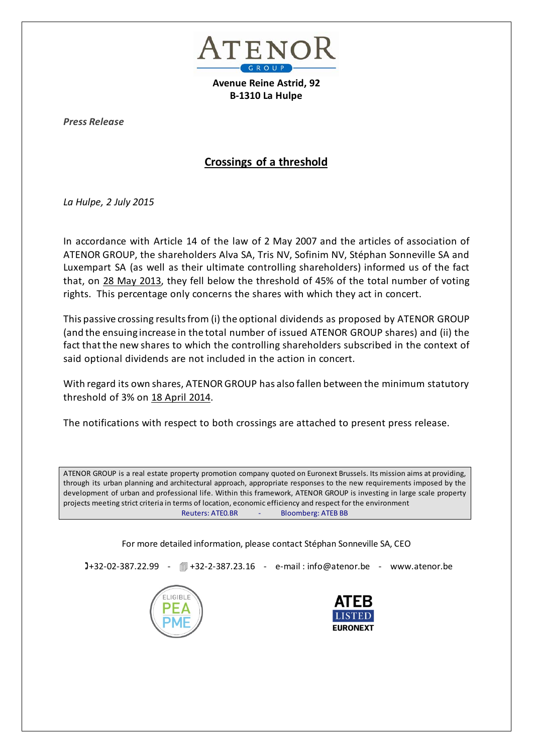

**Avenue Reine Astrid, 92 B-1310 La Hulpe**

*Press Release*

# **Crossings of a threshold**

*La Hulpe, 2 July 2015*

In accordance with Article 14 of the law of 2 May 2007 and the articles of association of ATENOR GROUP, the shareholders Alva SA, Tris NV, Sofinim NV, Stéphan Sonneville SA and Luxempart SA (as well as their ultimate controlling shareholders) informed us of the fact that, on 28 May 2013, they fell below the threshold of 45% of the total number of voting rights. This percentage only concerns the shares with which they act in concert.

This passive crossing results from (i) the optional dividends as proposed by ATENOR GROUP (and the ensuing increase in the total number of issued ATENOR GROUP shares) and (ii) the fact that the new shares to which the controlling shareholders subscribed in the context of said optional dividends are not included in the action in concert.

With regard its own shares, ATENOR GROUP has also fallen between the minimum statutory threshold of 3% on 18 April 2014.

The notifications with respect to both crossings are attached to present press release.

ATENOR GROUP is a real estate property promotion company quoted on Euronext Brussels. Its mission aims at providing, through its urban planning and architectural approach, appropriate responses to the new requirements imposed by the development of urban and professional life. Within this framework, ATENOR GROUP is investing in large scale property projects meeting strict criteria in terms of location, economic efficiency and respect for the environment Reuters: ATEO.BR - Bloomberg: ATEB BB

For more detailed information, please contact Stéphan Sonneville SA, CEO

**J**+32-02-387.22.99 - 1+32-2-387.23.16 - e-mail:info@atenor.be - www.atenor.be



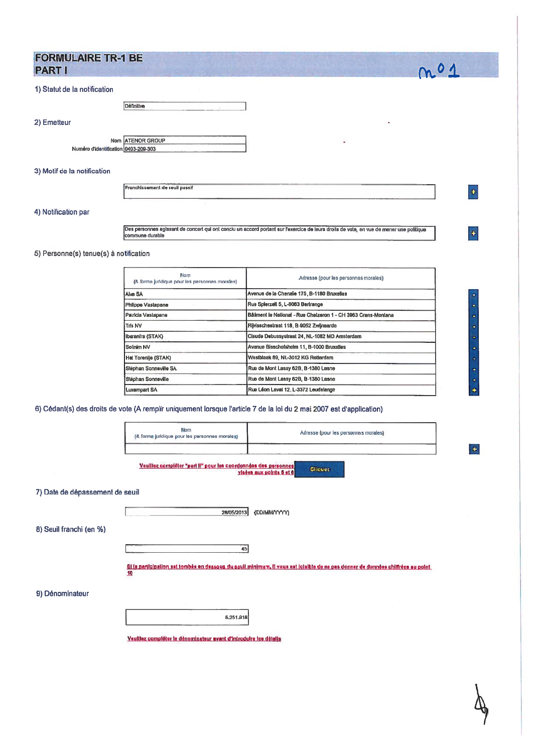| <b>FORMULAIRE TR-1 BE</b> |  |
|---------------------------|--|
| <b>PART I</b>             |  |

|  |  | 1) Statut de la notification |  |  |  |  |  |
|--|--|------------------------------|--|--|--|--|--|
|--|--|------------------------------|--|--|--|--|--|

| Définitive | $\overline{a}$ |  |
|------------|----------------|--|
|------------|----------------|--|

2) Emetteur

Nom ATENOR GROUP Numéro d'identification 0403-209-303

#### 3) Motif de la notification

Franchissement de seuil passif

## 4) Notification par

Des personnes agissant de concert qui ont conclu un accord portant sur l'exercice de leurs droits de vote, en vue de mener une politique

 $m<sub>0</sub>1$ 

 $\ddot{\bullet}$ 

 $\ddot{\bullet}$ 

į.

5) Personne(s) tenue(s) à notification

٠ř

| <b>Nom</b><br>(& forme juridique pour les personnes morales) | Adresse (pour les personnes morales)                           |
|--------------------------------------------------------------|----------------------------------------------------------------|
| <b>Alva SA</b>                                               | Avenue de la Chenaie 175, B-1180 Bruxelles                     |
| Philippe Vastapane                                           | Rue Spierzell 5, L-8063 Berlrange                              |
| Patricia Vastapane                                           | Bâliment le National - Rue Chetzeron 1 - CH 3963 Crans-Montana |
| Tris NV                                                      | Rijvisschestraat 118, B-9052 Zwijnaarde                        |
| Iberanfra (STAK)                                             | Claude Debussystraat 24, NL-1082 MD Amsterdam                  |
| Sofinim NV                                                   | Avenue Bisschofsheim 11, B-1000 Bruxelles                      |
| Het Torentje (STAK)                                          | Westblaak 89, NL-3012 KG Rotterdam                             |
| Stéphan Sonneville SA                                        | Rue de Mont Lassy 62B, B-1380 Lasne                            |
| Stéphan Sonneville                                           | Rue de Mont Lassy 62B, B-1380 Lasne                            |
| <b>Luxempart SA</b>                                          | Rue Léon Laval 12, L-3372 Leudelange                           |

6) Cédant(s) des droits de vote (A remplir uniquement lorsque l'article 7 de la loi du 2 mai 2007 est d'application)

|                                 | Nom<br>(& forme juridique pour les personnes morales)             | Adresse (pour les personnes morales)                                                                                            |           |
|---------------------------------|-------------------------------------------------------------------|---------------------------------------------------------------------------------------------------------------------------------|-----------|
|                                 | Veuillez compièter "part il" pour les coordonnées des personnes   | <b>Cliquez</b><br>visées aux points 6 et 6                                                                                      | $\ddot{}$ |
| 7) Date de dépassement de seuil |                                                                   |                                                                                                                                 |           |
|                                 | 28/05/2013                                                        | (DD/MM/YYYY)                                                                                                                    |           |
| 8) Seuil franchi (en %)         |                                                                   |                                                                                                                                 |           |
|                                 | 45                                                                |                                                                                                                                 |           |
|                                 | 10                                                                | Si la participation est tombée en dessous du seuil minimum, il vous est loisible de ne pas donner de données chiffrées au point |           |
| 9) Dénominateur                 |                                                                   |                                                                                                                                 |           |
|                                 | 5,251,918                                                         |                                                                                                                                 |           |
|                                 | Veuillez compléter le dénominateur avant d'introduire les détails |                                                                                                                                 |           |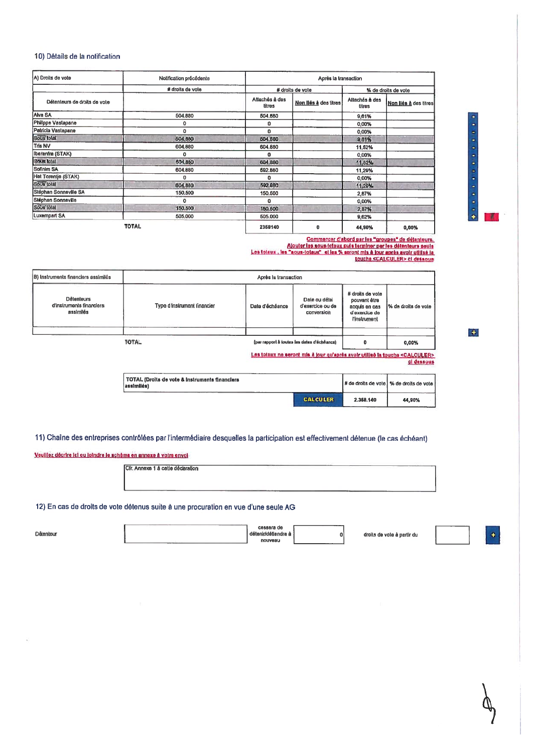## 10) Détails de la notification

| A) Droits de vote            | Notification précédente |                                 | Après la transaction  |                          |                       |  |
|------------------------------|-------------------------|---------------------------------|-----------------------|--------------------------|-----------------------|--|
|                              | # droits de vote        |                                 | # droits de vote      |                          | % de droits de vote   |  |
| Détenteurs de droits de vote |                         | Attachés à des<br><b>Litres</b> | Non liés à des titres | Altachés à des<br>titres | Non liés à des titres |  |
| Alva SA                      | 504.880                 | 504,680                         |                       | 9,61%                    |                       |  |
| Philippe Vastapane           | ٥                       | ٥                               |                       | 0,00%                    |                       |  |
| Patricia Vastapane           | 0                       | ٥                               |                       | 0,00%                    |                       |  |
| Sous total                   | 504,880                 | 504,680                         |                       | 9,61%                    |                       |  |
| <b>Tris NV</b>               | 604,880                 | 604,880                         |                       | 11,52%                   |                       |  |
| Iberanfra (STAK)             | ٥                       | o                               |                       | 0,00%                    |                       |  |
| Sous lotal                   | 604,880                 | 604.880                         |                       | 11,52%                   |                       |  |
| Sofinim SA                   | 604,880                 | 692,880                         |                       | 11,29%                   |                       |  |
| Het Torentje (STAK)          | 0                       | O                               |                       | 0,00%                    |                       |  |
| Sous total                   | 604,880                 | 592,880                         |                       | 11.29%                   |                       |  |
| Stéphan Sonneville SA        | 150,500                 | 150,500                         |                       | 2,87%                    |                       |  |
| Stéphan Sonneville           | o                       | o                               |                       | 0,00%                    |                       |  |
| Sous (ötal                   | 150,500                 | 150,500                         |                       | 2,87%                    |                       |  |
| Luxempart SA                 | 505,000                 | 505,000                         |                       | 9,62%                    |                       |  |
| <b>TOTAL</b>                 |                         | 2358140                         | 0                     | 44,90%                   | 0,00%                 |  |

Commencer d'abord par les "groupes" de détenteurs.<br>Alouter les sous-totaux puis terminer par les détenteurs seuls<br>Les totaux , les "aous-totaux" et les % seront mis à lour après avoir utilisé le<br>touche <CALCULER> ci dessou

| B) Instruments financiers assimilés                        | Après la transaction        |                 |                                                 |                                                                                    |                                                                                                       |
|------------------------------------------------------------|-----------------------------|-----------------|-------------------------------------------------|------------------------------------------------------------------------------------|-------------------------------------------------------------------------------------------------------|
| <b>Détenteurs</b><br>d'instruments financiers<br>assimilés | Type d'instrument financier | Date d'échéance | Dale ou délai<br>d'exercice ou de<br>conversion | # droits de vote<br>pouvant être<br>acquis en cas<br>d'exercice de<br>l'instrument | I% da droits de vole                                                                                  |
|                                                            | <b>TOTAL</b>                |                 | (par rapport à toutes les dates d'échéance)     | o                                                                                  | 0,00%                                                                                                 |
|                                                            |                             |                 |                                                 |                                                                                    | Les totaux ne seront mis à jour qu'après avoir utilisé la touche <calculer><br/>ci dessous</calculer> |

| TOTAL (Droits de vote & Instruments financiers<br>lassimilési |                 | # de droits de vote   % de droits de vot |        |
|---------------------------------------------------------------|-----------------|------------------------------------------|--------|
|                                                               | <b>CALCULER</b> | 2.358.140                                | 44.90% |

11) Chaîne des entreprises contrôlées par l'intermédiaire desquelles la participation est effectivement détenue (le cas échéant)

#### Veuillez décrire ici ou joindre le schéma en annexe à votre envoi

Cfr. Annexe 1 à cette déclaration

12) En cas de droits de vote détenus suite à une procuration en vue d'une seule AG

cessera de Détenteur détenin/détiendre à  $|0|$ droits de vote à partir du nouveau

 $\left| \cdot \right|$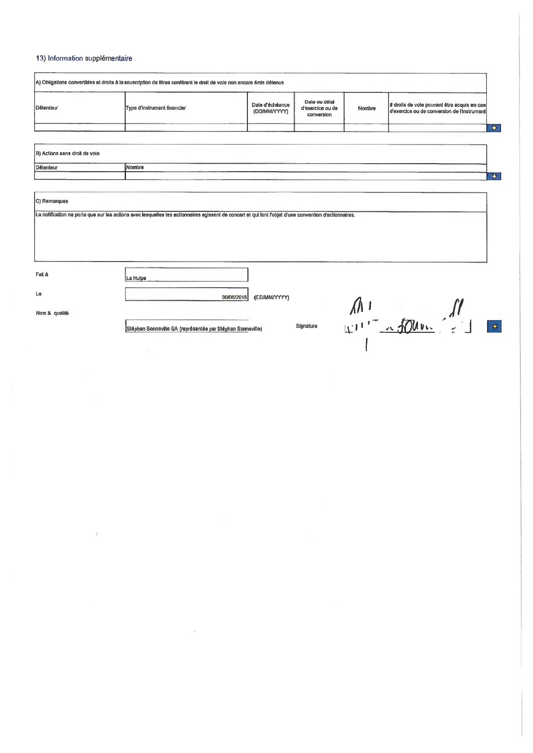## 13) Information supplémentaire

| A) Obligations convertibles et droits à la souscription de titres conférant le droit de vote non encore émis détenus |                             |                                  |                                                 |        |                                                                                            |  |
|----------------------------------------------------------------------------------------------------------------------|-----------------------------|----------------------------------|-------------------------------------------------|--------|--------------------------------------------------------------------------------------------|--|
| Détenteur                                                                                                            | Type d'instrument financier | Date d'échéance<br>(DD/MM/YYYYY) | Date ou délai<br>d'exercice ou de<br>conversion | Nombre | # droits de vote pouvant être acquis en cas<br>d'exercice ou de conversion de l'instrument |  |
|                                                                                                                      |                             |                                  |                                                 |        |                                                                                            |  |

30/08/2015 (DD/MM/YYYY)

Signature

| C) Remarques |
|--------------|
|--------------|

La notification ne porte que sur les actions avec lesquelles les actionnaires agissent de concert et qui font l'objet d'une convention d'actionnaires.

Fait à

Ú.

La Hulpe

Le

Nom & qualité

Stéphan Sonneville SA (représentée par Stéphan Sonneville)

 $M_{1}$  $\begin{array}{c} \bullet \\ \bullet \end{array}$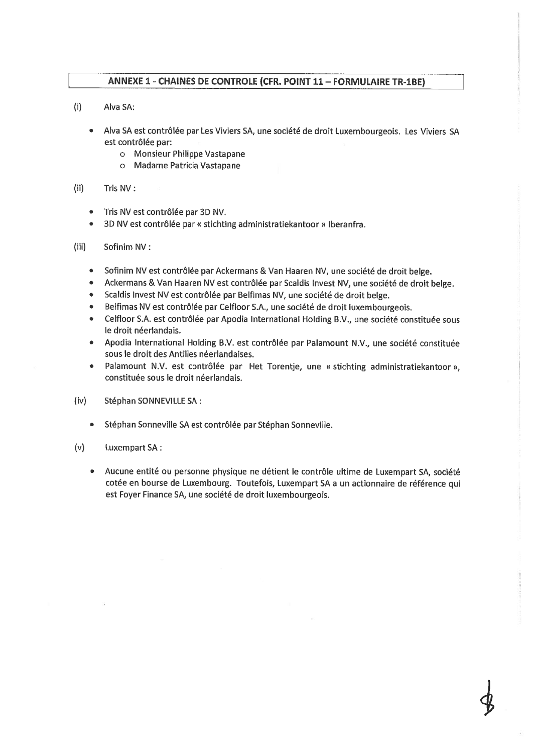## ANNEXE 1 - CHAINES DE CONTROLE (CFR. POINT 11 - FORMULAIRE TR-1BE)

- $(i)$ Alva SA:
	- Alva SA est contrôlée par Les Viviers SA, une société de droit Luxembourgeois. Les Viviers SA est contrôlée par:
		- o Monsieur Philippe Vastapane
		- o Madame Patricia Vastapane
- $(ii)$ Tris NV:
	- Tris NV est contrôlée par 3D NV.  $\bullet$
	- 3D NV est contrôlée par « stichting administratiekantoor » Iberanfra.  $\bullet$
- $(iii)$ Sofinim NV:
	- $\bullet$ Sofinim NV est contrôlée par Ackermans & Van Haaren NV, une société de droit belge.
	- Ackermans & Van Haaren NV est contrôlée par Scaldis Invest NV, une société de droit belge.
	- Scaldis Invest NV est contrôlée par Belfimas NV, une société de droit belge.
	- Belfimas NV est contrôlée par Celfloor S.A., une société de droit luxembourgeois.
	- Celfloor S.A. est contrôlée par Apodia International Holding B.V., une société constituée sous le droit néerlandais.
	- Apodia International Holding B.V. est contrôlée par Palamount N.V., une société constituée  $\bullet$ sous le droit des Antilles néerlandaises.
	- Palamount N.V. est contrôlée par Het Torentje, une « stichting administratiekantoor »,  $\bullet$ constituée sous le droit néerlandais.
- $(iv)$ Stéphan SONNEVILLE SA :
	- Stéphan Sonneville SA est contrôlée par Stéphan Sonneville.  $\bullet$  .
- $(v)$ **Luxempart SA:** 
	- $\bullet$ Aucune entité ou personne physique ne détient le contrôle ultime de Luxempart SA, société cotée en bourse de Luxembourg. Toutefois, Luxempart SA a un actionnaire de référence qui est Foyer Finance SA, une société de droit luxembourgeois.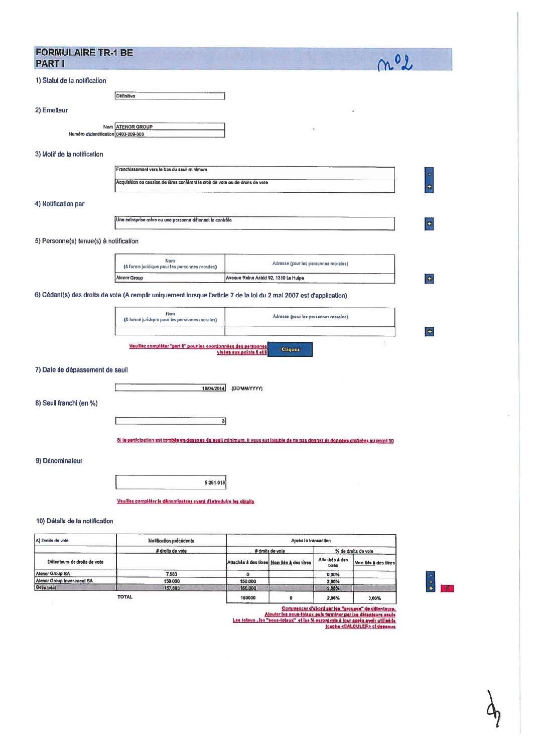| <b>FORMULAIRE TR-1 BE</b><br><b>PART I</b>                                                                           | n 0)                                                                                                                               |   |
|----------------------------------------------------------------------------------------------------------------------|------------------------------------------------------------------------------------------------------------------------------------|---|
| 1) Statut de la notification                                                                                         |                                                                                                                                    |   |
| Dáfinitive                                                                                                           |                                                                                                                                    |   |
| 2) Emetteur                                                                                                          |                                                                                                                                    |   |
| <b>ATENOR GROUP</b><br>Nom<br>Numéro d'identification 0403-209-303                                                   |                                                                                                                                    |   |
| 3) Motif de la notification                                                                                          |                                                                                                                                    |   |
| Franchissement vers le bas du seuil minimum                                                                          |                                                                                                                                    |   |
| Acquisition ou cession de titres conférant le droit de vote ou de droits de vote                                     |                                                                                                                                    |   |
| 4) Notification par                                                                                                  |                                                                                                                                    |   |
| Une entreprise mère ou une personne détenant le contrôle                                                             |                                                                                                                                    | ٠ |
| 5) Personne(s) tenue(s) à notification                                                                               |                                                                                                                                    |   |
| Nom<br>(8 forme juridique pour les personnes morales)                                                                | Adresse (pour les personnes morales)                                                                                               |   |
| Alenor Group                                                                                                         | Avenue Reine Astrid 92, 1310 La Hulpe                                                                                              | ٠ |
| 6) Cédant(s) des droits de vote (A remplir uniquement lorsque l'article 7 de la loi du 2 mai 2007 est d'application) |                                                                                                                                    |   |
| Nom<br>(& forme juridique pour les personnes morales)                                                                | Adresse (pour les personnes morales)                                                                                               |   |
| Veuillez complèter "part il" pour les coordonnées des personnes                                                      | <b>Cliquez</b><br>visées aux points 5 et 8                                                                                         | ٠ |
| 7) Date de dépassement de seuil                                                                                      |                                                                                                                                    |   |
|                                                                                                                      |                                                                                                                                    |   |
| 18/04/2014<br>8) Seuil franchi (en %)                                                                                | (DD/MM/YYYY)                                                                                                                       |   |
| 3                                                                                                                    |                                                                                                                                    |   |
|                                                                                                                      | Si la participation est tombée en dessous du seuli minimum. Il vous est loisible de ne pas donner de données chiffrées au point 10 |   |
| 9) Dénominateur                                                                                                      |                                                                                                                                    |   |
| 5,251.918                                                                                                            |                                                                                                                                    |   |
| Veuillez complèter le dénominateur avant d'introduire les détails                                                    |                                                                                                                                    |   |
| 10) Détails de la notification                                                                                       |                                                                                                                                    |   |

| A) Droits de vote            | Notification précédente |         | Après la transaction                        |                          |                       |  |  |
|------------------------------|-------------------------|---------|---------------------------------------------|--------------------------|-----------------------|--|--|
| Détenteurs de droits de vote | # droits de vote        |         | # droits de vole                            | % de droits de vote      |                       |  |  |
|                              |                         |         | Attachés à des titres Non liés à des titres | Altachés à des<br>titres | Non liés à des titres |  |  |
| <b>Atenor Group SA</b>       | 7.583                   |         |                                             | 0.00%                    |                       |  |  |
| Alenor Group Investment SA   | 150,000                 | 150,000 |                                             | 2.86%                    |                       |  |  |
| Sous total                   | 157,583                 | 150,000 |                                             | 2,88%                    |                       |  |  |
| <b>TOTAL</b>                 |                         | 150000  |                                             | 2.86%                    | 0,00%                 |  |  |

 $\bar{a}$ 

Commencer d'abord par les "groupes" de délenieurs.<br>Alouter les sous-totaux puis terminer par les délenieurs seuls<br>Les totaux, les "sous-lotaux" et les % seront mis à lour aorès avoir utilisé la<br>jouche «CALCULER» et dessous